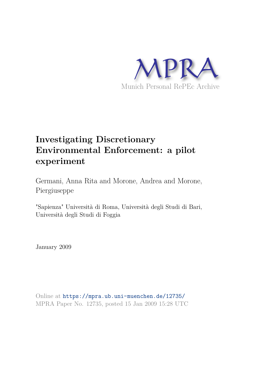

# **Investigating Discretionary Environmental Enforcement: a pilot experiment**

Germani, Anna Rita and Morone, Andrea and Morone, Piergiuseppe

"Sapienza" Università di Roma, Università degli Studi di Bari, Università degli Studi di Foggia

January 2009

Online at https://mpra.ub.uni-muenchen.de/12735/ MPRA Paper No. 12735, posted 15 Jan 2009 15:28 UTC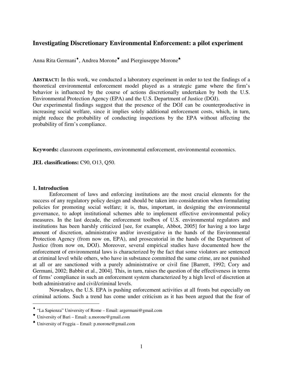# **Investigating Discretionary Environmental Enforcement: a pilot experiment**

Anna Rita Germani<sup>\*</sup>, Andrea Morone<sup>\*</sup> and Piergiuseppe Morone<sup>\*</sup>

**ABSTRACT:** In this work, we conducted a laboratory experiment in order to test the findings of a theoretical environmental enforcement model played as a strategic game where the firm's behavior is influenced by the course of actions discretionally undertaken by both the U.S. Environmental Protection Agency (EPA) and the U.S. Department of Justice (DOJ).

Our experimental findings suggest that the presence of the DOJ can be counterproductive in increasing social welfare, since it implies solely additional enforcement costs, which, in turn, might reduce the probability of conducting inspections by the EPA without affecting the probability of firm's compliance.

**Keywords:** classroom experiments, environmental enforcement, environmental economics.

**JEL classifications:** C90, O13, Q50.

# **1. Introduction**

 $\overline{a}$ 

Enforcement of laws and enforcing institutions are the most crucial elements for the success of any regulatory policy design and should be taken into consideration when formulating policies for promoting social welfare; it is, thus, important, in designing the environmental governance, to adopt institutional schemes able to implement effective environmental policy measures. In the last decade, the enforcement toolbox of U.S. environmental regulators and institutions has been harshly criticized [see, for example, Abbot, 2005] for having a too large amount of discretion, administrative and/or investigative in the hands of the Environmental Protection Agency (from now on, EPA), and prosecutorial in the hands of the Department of Justice (from now on, DOJ). Moreover, several empirical studies have documented how the enforcement of environmental laws is characterized by the fact that some violators are sentenced at criminal level while others, who have in substance committed the same crime, are not punished at all or are sanctioned with a purely administrative or civil fine [Barrett, 1992; Cory and Germani, 2002; Babbit et al., 2004]. This, in turn, raises the question of the effectiveness in terms of firms' compliance in such an enforcement system characterized by a high level of discretion at both administrative and civil/criminal levels.

Nowadays, the U.S. EPA is pushing enforcement activities at all fronts but especially on criminal actions. Such a trend has come under criticism as it has been argued that the fear of

<sup>♦</sup> "La Sapienza" University of Rome – Email: argermani@gmail.com

<sup>♥</sup> University of Bari – Email: a.morone@gmail.com

<sup>♠</sup> University of Foggia – Email: p.morone@gmail.com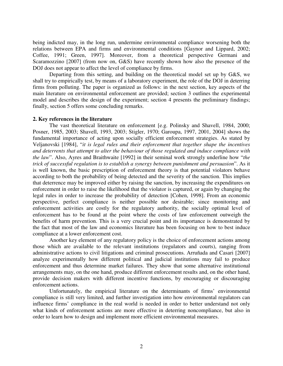being indicted may, in the long run, undermine environmental compliance worsening both the relations between EPA and firms and environmental conditions [Gaynor and Lippard, 2002; Coffee, 1991; Green, 1997]. Moreover, from a theoretical perspective Germani and Scaramozzino [2007] (from now on, G&S) have recently shown how also the presence of the DOJ does not appear to affect the level of compliance by firms.

Departing from this setting, and building on the theoretical model set up by G&S, we shall try to empirically test, by means of a laboratory experiment, the role of the DOJ in deterring firms from polluting. The paper is organized as follows: in the next section, key aspects of the main literature on environmental enforcement are provided; section 3 outlines the experimental model and describes the design of the experiment; section 4 presents the preliminary findings; finally, section 5 offers some concluding remarks.

# **2. Key references in the literature**

The vast theoretical literature on enforcement [e.g. Polinsky and Shavell, 1984, 2000; Posner, 1985, 2003; Shavell, 1993, 2003; Stigler, 1970; Garoupa, 1997, 2001, 2004] shows the fundamental importance of acting upon socially efficient enforcement strategies. As stated by Veljanovski [1984], "*it is legal rules and their enforcement that together shape the incentives and deterrents that attempt to alter the behaviour of those regulated and induce compliance with the law*". Also, Ayres and Braithwaite [1992] in their seminal work strongly underline how "*the trick of successful regulation is to establish a synergy between punishment and persuasion*". As it is well known, the basic prescription of enforcement theory is that potential violators behave according to both the probability of being detected and the severity of the sanction. This implies that deterrence may be improved either by raising the sanction, by increasing the expenditures on enforcement in order to raise the likelihood that the violator is captured, or again by changing the legal rules in order to increase the probability of detection [Cohen, 1998]. From an economic perspective, perfect compliance is neither possible nor desirable; since monitoring and enforcement activities are costly for the regulatory authority, the socially optimal level of enforcement has to be found at the point where the costs of law enforcement outweigh the benefits of harm prevention. This is a very crucial point and its importance is demonstrated by the fact that most of the law and economics literature has been focusing on how to best induce compliance at a lower enforcement cost.

Another key element of any regulatory policy is the choice of enforcement actions among those which are available to the relevant institutions (regulators and courts), ranging from administrative actions to civil litigations and criminal prosecutions. Arruñada and Casari [2007] analyze experimentally how different political and judicial institutions may fail to produce enforcement and thus determine market failures. They show that some alternative institutional arrangements may, on the one hand, produce different enforcement results and, on the other hand, provide decision makers with different incentive functions, by encouraging or discouraging enforcement actions.

Unfortunately, the empirical literature on the determinants of firms' environmental compliance is still very limited, and further investigation into how environmental regulators can influence firms' compliance in the real world is needed in order to better understand not only what kinds of enforcement actions are more effective in deterring noncompliance, but also in order to learn how to design and implement more efficient environmental measures.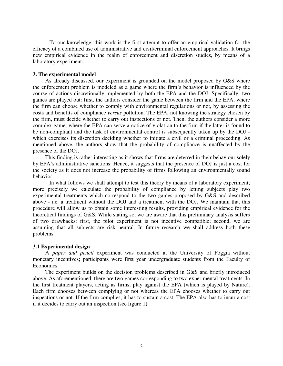To our knowledge, this work is the first attempt to offer an empirical validation for the efficacy of a combined use of administrative and civil/criminal enforcement approaches. It brings new empirical evidence in the realm of enforcement and discretion studies, by means of a laboratory experiment.

## **3. The experimental model**

 As already discussed, our experiment is grounded on the model proposed by G&S where the enforcement problem is modeled as a game where the firm's behavior is influenced by the course of actions discretionally implemented by both the EPA and the DOJ. Specifically, two games are played out: first, the authors consider the game between the firm and the EPA, where the firm can choose whether to comply with environmental regulations or not, by assessing the costs and benefits of compliance *versus* pollution. The EPA, not knowing the strategy chosen by the firm, must decide whether to carry out inspections or not. Then, the authors consider a more complex game, where the EPA can serve a notice of violation to the firm if the latter is found to be non-compliant and the task of environmental control is subsequently taken up by the DOJ which exercises its discretion deciding whether to initiate a civil or a criminal proceeding. As mentioned above, the authors show that the probability of compliance is unaffected by the presence of the DOJ.

 This finding is rather interesting as it shows that firms are deterred in their behaviour solely by EPA's administrative sanctions. Hence, it suggests that the presence of DOJ is just a cost for the society as it does not increase the probability of firms following an environmentally sound behavior.

 In what follows we shall attempt to test this theory by means of a laboratory experiment; more precisely we calculate the probability of compliance by letting subjects play two experimental treatments which correspond to the two games proposed by G&S and described above - i.e. a treatment without the DOJ and a treatment with the DOJ. We maintain that this procedure will allow us to obtain some interesting results, providing empirical evidence for the theoretical findings of G&S. While stating so, we are aware that this preliminary analysis suffers of two drawbacks: first, the pilot experiment is not incentive compatible; second, we are assuming that all subjects are risk neutral. In future research we shall address both these problems.

#### **3.1 Experimental design**

A *paper and pencil* experiment was conducted at the University of Foggia without monetary incentives; participants were first year undergraduate students from the Faculty of Economics.

The experiment builds on the decision problems described in G&S and briefly introduced above. As aforementioned, there are two games corresponding to two experimental treatments. In the first treatment players, acting as firms, play against the EPA (which is played by Nature). Each firm chooses between complying or not whereas the EPA chooses whether to carry out inspections or not. If the firm complies, it has to sustain a cost. The EPA also has to incur a cost if it decides to carry out an inspection (see figure 1).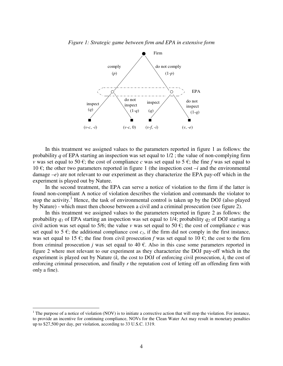#### *Figure 1: Strategic game between firm and EPA in extensive form*



In this treatment we assigned values to the parameters reported in figure 1 as follows: the probability *q* of EPA starting an inspection was set equal to 1/2 ; the value of non-complying firm *v* was set equal to 50 €; the cost of compliance *c* was set equal to 5 €; the fine *f* was set equal to 10 €; the other two parameters reported in figure 1 (the inspection cost  $-i$  and the environmental damage –*e*) are not relevant to our experiment as they characterize the EPA pay-off which in the experiment is played out by Nature.

In the second treatment, the EPA can serve a notice of violation to the firm if the latter is found non-compliant A notice of violation describes the violation and commands the violator to stop the activity.<sup>1</sup> Hence, the task of environmental control is taken up by the DOJ (also played by Nature) - which must then choose between a civil and a criminal prosecution (see figure 2).

In this treatment we assigned values to the parameters reported in figure 2 as follows: the probability *q1* of EPA starting an inspection was set equal to 1/4; probability *q2* of DOJ starting a civil action was set equal to 5/6; the value *v* was set equal to 50  $\epsilon$ ; the cost of compliance *c* was set equal to 5  $\epsilon$ ; the additional compliance cost  $c<sub>1</sub>$ , if the firm did not comply in the first instance, was set equal to 15  $\epsilon$ ; the fine from civil prosecution *f* was set equal to 10  $\epsilon$ ; the cost to the firm from criminal prosecution *j* was set equal to 40  $\epsilon$ . Also in this case some parameters reported in figure 2 where mot relevant to our experiment as they characterize the DOJ pay-off which in the experiment is played out by Nature  $(k_c$  the cost to DOJ of enforcing civil prosecution,  $k_i$  the cost of enforcing criminal prosecution, and finally *r* the reputation cost of letting off an offending firm with only a fine).

 $\overline{a}$ 

<sup>&</sup>lt;sup>1</sup> The purpose of a notice of violation (NOV) is to initiate a corrective action that will stop the violation. For instance, to provide an incentive for continuing compliance, NOVs for the Clean Water Act may result in monetary penalties up to \$27,500 per day, per violation, according to 33 U.S.C. 1319.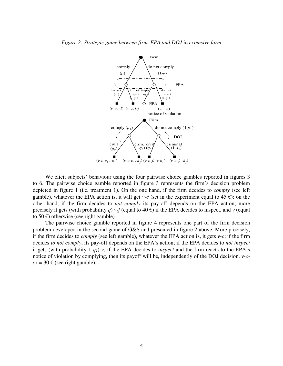

We elicit subjects' behaviour using the four pairwise choice gambles reported in figures 3 to 6. The pairwise choice gamble reported in figure 3 represents the firm's decision problem depicted in figure 1 (i.e. treatment 1). On the one hand, if the firm decides to *comply* (see left gamble), whatever the EPA action is, it will get *v-c* (set in the experiment equal to 45  $\epsilon$ ); on the other hand, if the firm decides to *not comply* its pay-off depends on the EPA action; more precisely it gets (with probability *q*) *v*-*f* (equal to 40  $\epsilon$ ) if the EPA decides to inspect, and *v* (equal to 50 $\epsilon$ ) otherwise (see right gamble).

The pairwise choice gamble reported in figure 4 represents one part of the firm decision problem developed in the second game of G&S and presented in figure 2 above. More precisely, if the firm decides to *comply* (see left gamble), whatever the EPA action is, it gets *v-c*; if the firm decides *to not comply*, its pay-off depends on the EPA's action; if the EPA decides to *not inspect* it gets (with probability  $1-q_l$ ) *v*; if the EPA decides to *inspect* and the firm reacts to the EPA's notice of violation by complying, then its payoff will be, independently of the DOJ decision, *v-c* $c_1 = 30 \text{ } \in \text{(see right gamble)}.$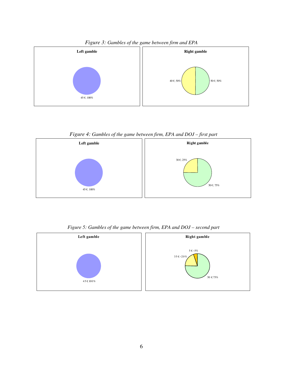

*Figure 3: Gambles of the game between firm and EPA*

*Figure 4: Gambles of the game between firm, EPA and DOJ – first part* 



*Figure 5: Gambles of the game between firm, EPA and DOJ – second part* 

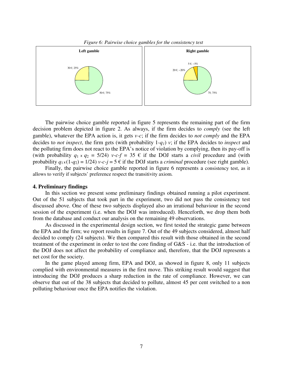



The pairwise choice gamble reported in figure 5 represents the remaining part of the firm decision problem depicted in figure 2. As always, if the firm decides to *comply* (see the left gamble), whatever the EPA action is, it gets *v-c*; if the firm decides to *not comply* and the EPA decides to *not inspect*, the firm gets (with probability 1-*q1*) *v*; if the EPA decides to *inspect* and the polluting firm does not react to the EPA's notice of violation by complying, then its pay-off is (with probability  $q_1 \times q_2 = 5/24$ ) *v-c-f* = 35  $\epsilon$  if the DOJ starts a *civil* procedure and (with probability  $q_1 \times (1-q_2) = 1/24$ ) *v-c-j* = 5  $\epsilon$  if the DOJ starts a *criminal* procedure (see right gamble).

Finally, the pairwise choice gamble reported in figure 6 represents a consistency test, as it allows to verify if subjects' preference respect the transitivity axiom.

### **4. Preliminary findings**

In this section we present some preliminary findings obtained running a pilot experiment. Out of the 51 subjects that took part in the experiment, two did not pass the consistency test discussed above. One of these two subjects displayed also an irrational behaviour in the second session of the experiment (i.e. when the DOJ was introduced). Henceforth, we drop them both from the database and conduct our analysis on the remaining 49 observations.

As discussed in the experimental design section, we first tested the strategic game between the EPA and the firm; we report results in figure 7. Out of the 49 subjects considered, almost half decided to comply (24 subjects). We then compared this result with those obtained in the second treatment of the experiment in order to test the core finding of G&S - i.e. that the introduction of the DOJ does not affect the probability of compliance and, therefore, that the DOJ represents a net cost for the society.

In the game played among firm, EPA and DOJ, as showed in figure 8, only 11 subjects complied with environmental measures in the first move. This striking result would suggest that introducing the DOJ produces a sharp reduction in the rate of compliance. However, we can observe that out of the 38 subjects that decided to pollute, almost 45 per cent switched to a non polluting behaviour once the EPA notifies the violation.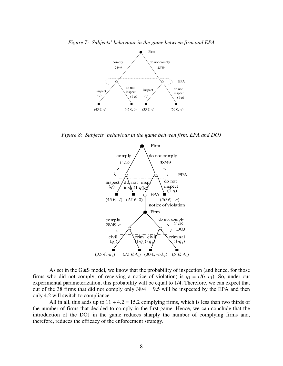



*Figure 8: Subjects' behaviour in the game between firm, EPA and DOJ* 



As set in the G&S model, we know that the probability of inspection (and hence, for those firms who did not comply, of receiving a notice of violation) is  $q_1 = c/(c-c_1)$ . So, under our experimental parameterization, this probability will be equal to 1/4. Therefore, we can expect that out of the 38 firms that did not comply only  $38/4 = 9.5$  will be inspected by the EPA and then only 4.2 will switch to compliance.

All in all, this adds up to  $11 + 4.2 = 15.2$  complying firms, which is less than two thirds of the number of firms that decided to comply in the first game. Hence, we can conclude that the introduction of the DOJ in the game reduces sharply the number of complying firms and, therefore, reduces the efficacy of the enforcement strategy.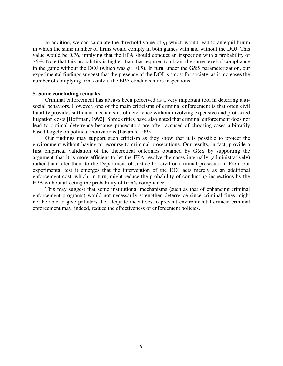In addition, we can calculate the threshold value of  $q_1$  which would lead to an equilibrium in which the same number of firms would comply in both games with and without the DOJ. This value would be 0.76, implying that the EPA should conduct an inspection with a probability of 76%. Note that this probability is higher than that required to obtain the same level of compliance in the game without the DOJ (which was  $q = 0.5$ ). In turn, under the G&S parameterization, our experimental findings suggest that the presence of the DOJ is a cost for society, as it increases the number of complying firms only if the EPA conducts more inspections.

### **5. Some concluding remarks**

Criminal enforcement has always been perceived as a very important tool in deterring antisocial behaviors. However, one of the main criticisms of criminal enforcement is that often civil liability provides sufficient mechanisms of deterrence without involving expensive and protracted litigation costs [Hoffman, 1992]. Some critics have also noted that criminal enforcement does not lead to optimal deterrence because prosecutors are often accused of choosing cases arbitrarily based largely on political motivations [Lazarus, 1995].

Our findings may support such criticism as they show that it is possible to protect the environment without having to recourse to criminal prosecutions. Our results, in fact, provide a first empirical validation of the theoretical outcomes obtained by G&S by supporting the argument that it is more efficient to let the EPA resolve the cases internally (administratively) rather than refer them to the Department of Justice for civil or criminal prosecution. From our experimental test it emerges that the intervention of the DOJ acts merely as an additional enforcement cost, which, in turn, might reduce the probability of conducting inspections by the EPA without affecting the probability of firm's compliance.

This may suggest that some institutional mechanisms (such as that of enhancing criminal enforcement programs) would not necessarily strengthen deterrence since criminal fines might not be able to give polluters the adequate incentives to prevent environmental crimes; criminal enforcement may, indeed, reduce the effectiveness of enforcement policies.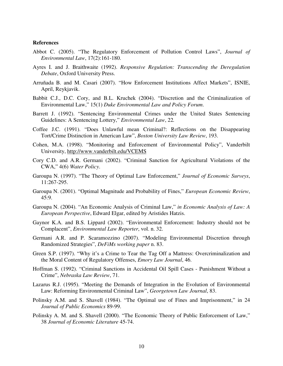#### **References**

- Abbot C. (2005). "The Regulatory Enforcement of Pollution Control Laws", *Journal of Environmental Law*, 17(2):161-180.
- Ayres I. and J. Braithwaite (1992). *Responsive Regulation: Transcending the Deregulation Debate*, Oxford University Press.
- Arruñada B. and M. Casari (2007). "How Enforcement Institutions Affect Markets", ISNIE, April, Reykjavik.
- Babbit C.J., D.C. Cory, and B.L. Kruchek (2004). "Discretion and the Criminalization of Environmental Law," 15(1) *Duke Environmental Law and Policy Forum*.
- Barrett J. (1992). "Sentencing Environmental Crimes under the United States Sentencing Guidelines: A Sentencing Lottery," *Environmental Law*, 22*.*
- Coffee J.C. (1991). "Does Unlawful mean Criminal?: Reflections on the Disappearing Tort/Crime Distinction in American Law", *Boston University Law Review*, 193.
- Cohen, M.A. (1998). "Monitoring and Enforcement of Environmental Policy", Vanderbilt University, http://www.vanderbilt.edu/VCEMS
- Cory C.D. and A.R. Germani (2002). "Criminal Sanction for Agricultural Violations of the CWA," 4(6) *Water Policy*.
- Garoupa N. (1997). "The Theory of Optimal Law Enforcement," *Journal of Economic Surveys*, 11:267-295.
- Garoupa N. (2001). "Optimal Magnitude and Probability of Fines," *European Economic Review*, 45:9.
- Garoupa N. (2004). "An Economic Analysis of Criminal Law," *in Economic Analysis of Law: A European Perspective*, Edward Elgar, edited by Aristides Hatzis.
- Gaynor K.A. and B.S. Lippard (2002). "Environmental Enforcement: Industry should not be Complacent", *Environmental Law Reporter*, vol. n. 32.
- Germani A.R. and P. Scaramozzino (2007). "Modeling Environmental Discretion through Randomized Strategies", *DeFiMs working paper* n. 83.
- Green S.P. (1997). "Why it's a Crime to Tear the Tag Off a Mattress: Overcriminalization and the Moral Content of Regulatory Offenses, *Emory Law Journal*, 46.
- Hoffman S. (1992). "Criminal Sanctions in Accidental Oil Spill Cases Punishment Without a Crime", *Nebraska Law Review*, 71.
- Lazarus R.J. (1995). "Meeting the Demands of Integration in the Evolution of Environmental Law: Reforming Environmental Criminal Law", *Georgetown Law Journal*, 83.
- Polinsky A.M. and S. Shavell (1984). "The Optimal use of Fines and Imprisonment," in 24 *Journal of Public Economics* 89-99.
- Polinsky A. M. and S. Shavell (2000). "The Economic Theory of Public Enforcement of Law," 38 *Journal of Economic Literature* 45-74.